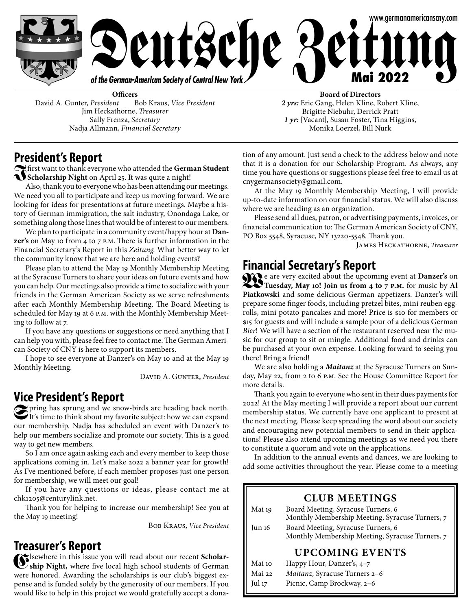

**Officers**<br>*nt* Bob Kraus, *Vice President* David A. Gunter, President Jim Heckathorne, *Treasurer* Sally Frenza, *Secretary* Nadja Allmann, *Financial Secretary*

**Board of Directors** *2 yrs:* Eric Gang, Helen Kline, Robert Kline, Brigitte Niebuhr, Derrick Pratt *1 yr:* [Vacant], Susan Foster, Tina Higgins, Monika Loerzel, Bill Nurk

# **President's Report**

**Indeed the German Student** contains thank everyone who attended the **German Student Scholarship Night** on April 25. It was quite a night!

Also, thank you to everyone who has been attending our meetings. We need you all to participate and keep us moving forward. We are looking for ideas for presentations at future meetings. Maybe a history of German immigration, the salt industry, Onondaga Lake, or something along those lines that would be of interest to our members.

We plan to participate in a community event/happy hour at **Danzer's** on May 10 from 4 to 7 p.m. There is further information in the Financial Secretary's Report in this *Zeitung.* What better way to let the community know that we are here and holding events?

Please plan to attend the May 19 Monthly Membership Meeting at the Syracuse Turners to share your ideas on future events and how you can help. Our meetings also provide a time to socialize with your friends in the German American Society as we serve refreshments after each Monthly Membership Meeting. The Board Meeting is scheduled for May 19 at 6 p.m. with the Monthly Membership Meeting to follow at 7.

If you have any questions or suggestions or need anything that I can help you with, please feel free to contact me. The German American Society of CNY is here to support its members.

I hope to see everyone at Danzer's on May 10 and at the May 19 Monthly Meeting.

DAVID A. GUNTER, *President* 

**Vice President's Report**<br> **Example 20** Pring has sprung and we snow-birds are heading back north. **S**pring has sprung and we snow-birds are heading back north.<br>It's time to think about my favorite subject: how we can expand our membership. Nadja has scheduled an event with Danzer's to help our members socialize and promote our society. This is a good way to get new members.

So I am once again asking each and every member to keep those applications coming in. Let's make 2022 a banner year for growth! As I've mentioned before, if each member proposes just one person for membership, we will meet our goal!

If you have any questions or ideas, please contact me at chk1205@centurylink.net.

Thank you for helping to increase our membership! See you at the May 19 meeting!

Bob Kraus, *Vice President*

# **Treasurer's Report**

**E**lsewhere in this issue you will read about our recent **Scholar-ship Night,** where five local high school students of German were honored. Awarding the scholarships is our club's biggest expense and is funded solely by the generosity of our members. If you would like to help in this project we would gratefully accept a donation of any amount. Just send a check to the address below and note that it is a donation for our Scholarship Program. As always, any time you have questions or suggestions please feel free to email us at cnygermansociety@gmail.com.

At the May 19 Monthly Membership Meeting, I will provide up-to-date information on our financial status. We will also discuss where we are heading as an organization.

Please send all dues, patron, or advertising payments, invoices, or financial communication to: The German American Society of CNY, PO Box 5548, Syracuse, NY 13220-5548. Thank you.

James Heckathorne, *Treasurer*

**Financial Secretary's Report**<br>**COCP** e are very excited about the upcoming event at Danzer's on **W**e are very excited about the upcoming event at **Danzer's** on **Tuesday, May 10! Join us from 4 to 7 p.m.** for music by **Al Piatkowski** and some delicious German appetizers. Danzer's will prepare some finger foods, including pretzel bites, mini reuben eggrolls, mini potato pancakes and more! Price is \$10 for members or \$15 for guests and will include a sample pour of a delicious German *Bier*! We will have a section of the restaurant reserved near the music for our group to sit or mingle. Additional food and drinks can be purchased at your own expense. Looking forward to seeing you there! Bring a friend!

We are also holding a *Maitanz* at the Syracuse Turners on Sunday, May 22, from 2 to 6 p.m. See the House Committee Report for more details.

Thank you again to everyone who sent in their dues payments for 2022! At the May meeting I will provide a report about our current membership status. We currently have one applicant to present at the next meeting. Please keep spreading the word about our society and encouraging new potential members to send in their applications! Please also attend upcoming meetings as we need you there to constitute a quorum and vote on the applications.

In addition to the annual events and dances, we are looking to add some activities throughout the year. Please come to a meeting

|                        | <b>CLUB MEETINGS</b>                                                                  |  |  |  |
|------------------------|---------------------------------------------------------------------------------------|--|--|--|
| Mai 19                 | Board Meeting, Syracuse Turners, 6<br>Monthly Membership Meeting, Syracuse Turners, 7 |  |  |  |
| Jun 16                 | Board Meeting, Syracuse Turners, 6<br>Monthly Membership Meeting, Syracuse Turners, 7 |  |  |  |
| <b>UPCOMING EVENTS</b> |                                                                                       |  |  |  |
| Mai 10                 | Happy Hour, Danzer's, 4-7                                                             |  |  |  |
| Mai 22                 | Maitanz, Syracuse Turners 2-6                                                         |  |  |  |

Jul 17 Picnic, Camp Brockway, 2–6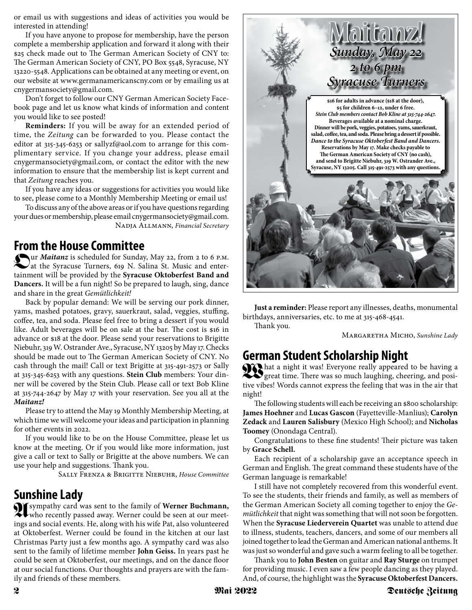or email us with suggestions and ideas of activities you would be interested in attending!

If you have anyone to propose for membership, have the person complete a membership application and forward it along with their \$25 check made out to The German American Society of CNY to: The German American Society of CNY, PO Box 5548, Syracuse, NY 13220-5548. Applications can be obtained at any meeting or event, on our website at www.germanamericanscny.com or by emailing us at cnygermansociety@gmail.com.

Don't forget to follow our CNY German American Society Facebook page and let us know what kinds of information and content you would like to see posted!

**Reminders:** If you will be away for an extended period of time, the *Zeitung* can be forwarded to you. Please contact the editor at 315-345-6253 or sallyzf@aol.com to arrange for this complimentary service. If you change your address, please email cnygermansociety@gmail.com, or contact the editor with the new information to ensure that the membership list is kept current and that *Zeitung* reaches you.

If you have any ideas or suggestions for activities you would like to see, please come to a Monthly Membership Meeting or email us!

To discuss any of the above areas or if you have questions regarding your dues or membership, please email cnygermansociety@gmail.com. Nadja Allmann, *Financial Secretary*

# **From the House Committee**

**O**ur *Maitanz* is scheduled for Sunday, May 22, from 2 to 6 p.m. at the Syracuse Turners, 619 N. Salina St. Music and entertainment will be provided by the **Syracuse Oktoberfest Band and Dancers.** It will be a fun night! So be prepared to laugh, sing, dance and share in the great *Gemütlichkeit!*

Back by popular demand: We will be serving our pork dinner, yams, mashed potatoes, gravy, sauerkraut, salad, veggies, stuffing, coffee, tea, and soda. Please feel free to bring a dessert if you would like. Adult beverages will be on sale at the bar. The cost is \$16 in advance or \$18 at the door. Please send your reservations to Brigitte Niebuhr, 319 W. Ostrander Ave., Syracuse, NY 13205 by May 17. Checks should be made out to The German American Society of CNY. No cash through the mail! Call or text Brigitte at 315-491-2573 or Sally at 315-345-6253 with any questions. **Stein Club** members: Your dinner will be covered by the Stein Club. Please call or text Bob Kline at 315-744-2647 by May 17 with your reservation. See you all at the *Maitanz!*

Please try to attend the May 19 Monthly Membership Meeting, at which time we will welcome your ideas and participation in planning for other events in 2022.

If you would like to be on the House Committee, please let us know at the meeting. Or if you would like more information, just give a call or text to Sally or Brigitte at the above numbers. We can use your help and suggestions. Thank you.

Sally Frenza & Brigitte Niebuhr, *House Committee*

# **Sunshine Lady**

**A** sympathy card was sent to the family of **Werner Buchmann,** who recently passed away. Werner could be seen at our meetings and social events. He, along with his wife Pat, also volunteered at Oktoberfest. Werner could be found in the kitchen at our last Christmas Party just a few months ago. A sympathy card was also sent to the family of lifetime member **John Geiss.** In years past he could be seen at Oktoberfest, our meetings, and on the dance floor at our social functions. Our thoughts and prayers are with the family and friends of these members.



**Just a reminder:** Please report any illnesses, deaths, monumental birthdays, anniversaries, etc. to me at 315-468-4541.

Thank you.

Margaretha Micho, *Sunshine Lady*

# **German Student Scholarship Night**

**What a night it was! Everyone really appeared to be having a** Surface of time. There was so much laughing, cheering, and positive vibes! Words cannot express the feeling that was in the air that night!

The following students will each be receiving an \$800 scholarship: **James Hoehner** and **Lucas Gascon** (Fayetteville-Manlius); **Carolyn Zedack** and **Lauren Salisbury** (Mexico High School); and **Nicholas Toomey** (Onondaga Central).

Congratulations to these fine students! Their picture was taken by **Grace Schell.**

Each recipient of a scholarship gave an acceptance speech in German and English. The great command these students have of the German language is remarkable!

I still have not completely recovered from this wonderful event. To see the students, their friends and family, as well as members of the German American Society all coming together to enjoy the *Gemütlichkeit* that night was something that will not soon be forgotten. When the **Syracuse Liederverein Quartet** was unable to attend due to illness, students, teachers, dancers, and some of our members all joined together to lead the German and American national anthems. It was just so wonderful and gave such a warm feeling to all be together.

Thank you to **John Besten** on guitar and **Ray Sturge** on trumpet for providing music. I even saw a few people dancing as they played. And, of course, the highlight was the **Syracuse Oktoberfest Dancers.**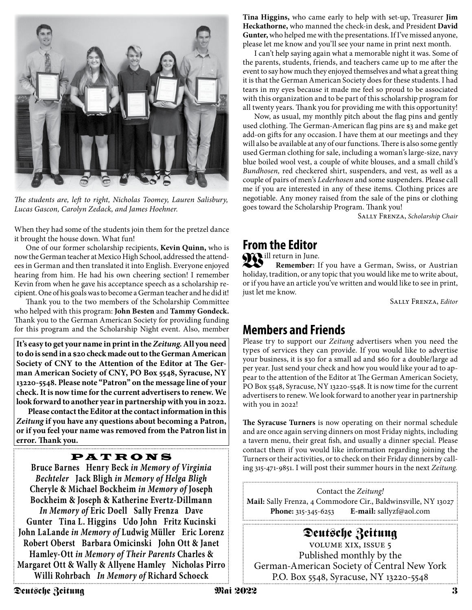

*The students are, left to right, Nicholas Toomey, Lauren Salisbury, Lucas Gascon, Carolyn Zedack, and James Hoehner.*

When they had some of the students join them for the pretzel dance it brought the house down. What fun!

One of our former scholarship recipients, **Kevin Quinn,** who is now the German teacher at Mexico High School, addressed the attendees in German and then translated it into English. Everyone enjoyed hearing from him. He had his own cheering section! I remember Kevin from when he gave his acceptance speech as a scholarship recipient. One of his goals was to become a German teacher and he did it!

Thank you to the two members of the Scholarship Committee who helped with this program: **John Besten** and **Tammy Gondeck.** Thank you to the German American Society for providing funding for this program and the Scholarship Night event. Also, member

**It's easy to get your name in print in the** *Zeitung***. All you need to do is send in a \$20 check made out to the German American Society of CNY to the Attention of the Editor at The German American Society of CNY, PO Box 5548, Syracuse, NY 13220-5548. Please note "Patron" on the message line of your check. It is now time for the current advertisers to renew. We look forward to another year in partnership with you in 2022.**

**Please contact the Editor at the contact information in this**  *Zeitung* **if you have any questions about becoming a Patron, or if you feel your name was removed from the Patron list in error. Thank you.**

### PATRONS

**Bruce Barnes Henry Beck** *in Memory of Virginia Bechteler* **Jack Bligh** *in Memory of Helga Bligh* **Cheryle & Michael Bockheim** *in Memory of* **Joseph Bockheim & Joseph & Katherine Evertz-Dillmann** *In Memory of* **Eric Doell Sally Frenza Dave Gunter Tina L. Higgins Udo John Fritz Kucinski John LaLande** *in Memory of* **Ludwig Müller Eric Lorenz Robert Oberst Barbara Omicinski John Ott & Janet Hamley-Ott** *in Memory of Their Parents* **Charles & Margaret Ott & Wally & Allyene Hamley Nicholas Pirro Willi Rohrbach** *In Memory of* **Richard Schoeck**

**Tina Higgins,** who came early to help with set-up, Treasurer **Jim Heckathorne,** who manned the check-in desk, and President **David Gunter,** who helped me with the presentations. If I've missed anyone, please let me know and you'll see your name in print next month.

I can't help saying again what a memorable night it was. Some of the parents, students, friends, and teachers came up to me after the event to say how much they enjoyed themselves and what a great thing it is that the German American Society does for these students. I had tears in my eyes because it made me feel so proud to be associated with this organization and to be part of this scholarship program for all twenty years. Thank you for providing me with this opportunity!

Now, as usual, my monthly pitch about the flag pins and gently used clothing. The German-American flag pins are \$3 and make get add-on gifts for any occasion. I have them at our meetings and they will also be available at any of our functions. There is also some gently used German clothing for sale, including a woman's large-size, navy blue boiled wool vest, a couple of white blouses, and a small child's *Bundhosen,* red checkered shirt, suspenders, and vest, as well as a couple of pairs of men's *Lederhosen* and some suspenders. Please call me if you are interested in any of these items. Clothing prices are negotiable. Any money raised from the sale of the pins or clothing goes toward the Scholarship Program. Thank you!

Sally Frenza, *Scholarship Chair*

## **From the Editor**

Will return in June.

**Remember:** If you have a German, Swiss, or Austrian holiday, tradition, or any topic that you would like me to write about, or if you have an article you've written and would like to see in print, just let me know.

Sally Frenza, *Editor*

# **Members and Friends**

Please try to support our *Zeitung* advertisers when you need the types of services they can provide. If you would like to advertise your business, it is \$30 for a small ad and \$60 for a double/large ad per year. Just send your check and how you would like your ad to appear to the attention of the Editor at The German American Society, PO Box 5548, Syracuse, NY 13220-5548. It is now time for the current advertisers to renew. We look forward to another year in partnership with you in 2022!

**The Syracuse Turners** is now operating on their normal schedule and are once again serving dinners on most Friday nights, including a tavern menu, their great fish, and usually a dinner special. Please contact them if you would like information regarding joining the Turners or their activities, or to check on their Friday dinners by calling 315-471-9851. I will post their summer hours in the next *Zeitung.*

Contact the *Zeitung!* **Mail:** Sally Frenza, 4 Commodore Cir., Baldwinsville, NY 13027 **Phone:** 315-345-6253 **E-mail:** sallyzf@aol.com 

**Deutsche Zeitung** volume xix, issue 5 Published monthly by the German-American Society of Central New York P.O. Box 5548, Syracuse, NY 13220-5548